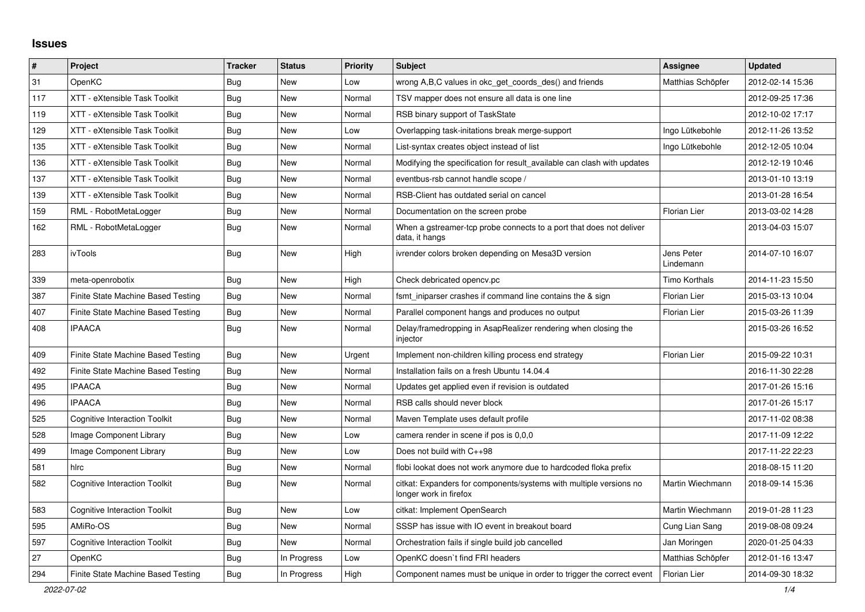## **Issues**

| #   | Project                              | <b>Tracker</b> | <b>Status</b> | <b>Priority</b> | <b>Subject</b>                                                                               | Assignee                | <b>Updated</b>   |
|-----|--------------------------------------|----------------|---------------|-----------------|----------------------------------------------------------------------------------------------|-------------------------|------------------|
| 31  | OpenKC                               | Bug            | New           | Low             | wrong A,B,C values in okc get coords des() and friends                                       | Matthias Schöpfer       | 2012-02-14 15:36 |
| 117 | XTT - eXtensible Task Toolkit        | Bug            | New           | Normal          | TSV mapper does not ensure all data is one line                                              |                         | 2012-09-25 17:36 |
| 119 | XTT - eXtensible Task Toolkit        | Bug            | New           | Normal          | RSB binary support of TaskState                                                              |                         | 2012-10-02 17:17 |
| 129 | XTT - eXtensible Task Toolkit        | Bug            | New           | Low             | Overlapping task-initations break merge-support                                              | Ingo Lütkebohle         | 2012-11-26 13:52 |
| 135 | XTT - eXtensible Task Toolkit        | Bug            | New           | Normal          | List-syntax creates object instead of list                                                   | Ingo Lütkebohle         | 2012-12-05 10:04 |
| 136 | XTT - eXtensible Task Toolkit        | Bug            | New           | Normal          | Modifying the specification for result available can clash with updates                      |                         | 2012-12-19 10:46 |
| 137 | XTT - eXtensible Task Toolkit        | Bug            | New           | Normal          | eventbus-rsb cannot handle scope /                                                           |                         | 2013-01-10 13:19 |
| 139 | XTT - eXtensible Task Toolkit        | Bug            | New           | Normal          | RSB-Client has outdated serial on cancel                                                     |                         | 2013-01-28 16:54 |
| 159 | RML - RobotMetaLogger                | <b>Bug</b>     | New           | Normal          | Documentation on the screen probe                                                            | Florian Lier            | 2013-03-02 14:28 |
| 162 | RML - RobotMetaLogger                | Bug            | New           | Normal          | When a gstreamer-tcp probe connects to a port that does not deliver<br>data, it hangs        |                         | 2013-04-03 15:07 |
| 283 | ivTools                              | Bug            | New           | High            | ivrender colors broken depending on Mesa3D version                                           | Jens Peter<br>Lindemann | 2014-07-10 16:07 |
| 339 | meta-openrobotix                     | Bug            | New           | High            | Check debricated opency.pc                                                                   | Timo Korthals           | 2014-11-23 15:50 |
| 387 | Finite State Machine Based Testing   | Bug            | New           | Normal          | fsmt iniparser crashes if command line contains the & sign                                   | <b>Florian Lier</b>     | 2015-03-13 10:04 |
| 407 | Finite State Machine Based Testing   | Bug            | New           | Normal          | Parallel component hangs and produces no output                                              | <b>Florian Lier</b>     | 2015-03-26 11:39 |
| 408 | <b>IPAACA</b>                        | Bug            | <b>New</b>    | Normal          | Delay/framedropping in AsapRealizer rendering when closing the<br>injector                   |                         | 2015-03-26 16:52 |
| 409 | Finite State Machine Based Testing   | Bug            | New           | Urgent          | Implement non-children killing process end strategy                                          | <b>Florian Lier</b>     | 2015-09-22 10:31 |
| 492 | Finite State Machine Based Testing   | Bug            | New           | Normal          | Installation fails on a fresh Ubuntu 14.04.4                                                 |                         | 2016-11-30 22:28 |
| 495 | <b>IPAACA</b>                        | Bug            | <b>New</b>    | Normal          | Updates get applied even if revision is outdated                                             |                         | 2017-01-26 15:16 |
| 496 | <b>IPAACA</b>                        | Bug            | New           | Normal          | RSB calls should never block                                                                 |                         | 2017-01-26 15:17 |
| 525 | <b>Cognitive Interaction Toolkit</b> | <b>Bug</b>     | <b>New</b>    | Normal          | Maven Template uses default profile                                                          |                         | 2017-11-02 08:38 |
| 528 | Image Component Library              | Bug            | <b>New</b>    | Low             | camera render in scene if pos is 0,0,0                                                       |                         | 2017-11-09 12:22 |
| 499 | Image Component Library              | Bug            | New           | Low             | Does not build with $C_{++}98$                                                               |                         | 2017-11-22 22:23 |
| 581 | hlrc                                 | Bug            | New           | Normal          | flobi lookat does not work anymore due to hardcoded floka prefix                             |                         | 2018-08-15 11:20 |
| 582 | Cognitive Interaction Toolkit        | Bug            | New           | Normal          | citkat: Expanders for components/systems with multiple versions no<br>longer work in firefox | Martin Wiechmann        | 2018-09-14 15:36 |
| 583 | Cognitive Interaction Toolkit        | Bug            | <b>New</b>    | Low             | citkat: Implement OpenSearch                                                                 | Martin Wiechmann        | 2019-01-28 11:23 |
| 595 | AMiRo-OS                             | <b>Bug</b>     | <b>New</b>    | Normal          | SSSP has issue with IO event in breakout board                                               | Cung Lian Sang          | 2019-08-08 09:24 |
| 597 | <b>Cognitive Interaction Toolkit</b> | Bug            | <b>New</b>    | Normal          | Orchestration fails if single build job cancelled                                            | Jan Moringen            | 2020-01-25 04:33 |
| 27  | OpenKC                               | Bug            | In Progress   | Low             | OpenKC doesn't find FRI headers                                                              | Matthias Schöpfer       | 2012-01-16 13:47 |
| 294 | Finite State Machine Based Testing   | Bug            | In Progress   | High            | Component names must be unique in order to trigger the correct event                         | Florian Lier            | 2014-09-30 18:32 |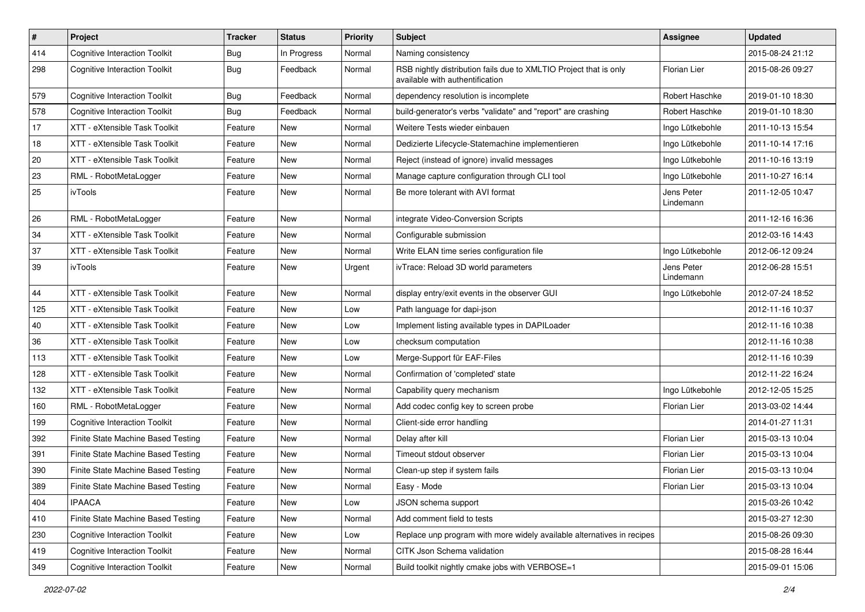| $\pmb{\sharp}$ | Project                              | <b>Tracker</b> | <b>Status</b> | <b>Priority</b> | Subject                                                                                              | <b>Assignee</b>         | <b>Updated</b>   |
|----------------|--------------------------------------|----------------|---------------|-----------------|------------------------------------------------------------------------------------------------------|-------------------------|------------------|
| 414            | <b>Cognitive Interaction Toolkit</b> | Bug            | In Progress   | Normal          | Naming consistency                                                                                   |                         | 2015-08-24 21:12 |
| 298            | <b>Cognitive Interaction Toolkit</b> | Bug            | Feedback      | Normal          | RSB nightly distribution fails due to XMLTIO Project that is only<br>available with authentification | <b>Florian Lier</b>     | 2015-08-26 09:27 |
| 579            | <b>Cognitive Interaction Toolkit</b> | <b>Bug</b>     | Feedback      | Normal          | dependency resolution is incomplete                                                                  | Robert Haschke          | 2019-01-10 18:30 |
| 578            | <b>Cognitive Interaction Toolkit</b> | Bug            | Feedback      | Normal          | build-generator's verbs "validate" and "report" are crashing                                         | Robert Haschke          | 2019-01-10 18:30 |
| 17             | XTT - eXtensible Task Toolkit        | Feature        | New           | Normal          | Weitere Tests wieder einbauen                                                                        | Ingo Lütkebohle         | 2011-10-13 15:54 |
| 18             | XTT - eXtensible Task Toolkit        | Feature        | New           | Normal          | Dedizierte Lifecycle-Statemachine implementieren                                                     | Ingo Lütkebohle         | 2011-10-14 17:16 |
| 20             | XTT - eXtensible Task Toolkit        | Feature        | New           | Normal          | Reject (instead of ignore) invalid messages                                                          | Ingo Lütkebohle         | 2011-10-16 13:19 |
| 23             | RML - RobotMetaLogger                | Feature        | New           | Normal          | Manage capture configuration through CLI tool                                                        | Ingo Lütkebohle         | 2011-10-27 16:14 |
| 25             | ivTools                              | Feature        | New           | Normal          | Be more tolerant with AVI format                                                                     | Jens Peter<br>Lindemann | 2011-12-05 10:47 |
| 26             | RML - RobotMetaLogger                | Feature        | New           | Normal          | integrate Video-Conversion Scripts                                                                   |                         | 2011-12-16 16:36 |
| 34             | XTT - eXtensible Task Toolkit        | Feature        | New           | Normal          | Configurable submission                                                                              |                         | 2012-03-16 14:43 |
| 37             | XTT - eXtensible Task Toolkit        | Feature        | New           | Normal          | Write ELAN time series configuration file                                                            | Ingo Lütkebohle         | 2012-06-12 09:24 |
| 39             | ivTools                              | Feature        | New           | Urgent          | ivTrace: Reload 3D world parameters                                                                  | Jens Peter<br>Lindemann | 2012-06-28 15:51 |
| 44             | XTT - eXtensible Task Toolkit        | Feature        | New           | Normal          | display entry/exit events in the observer GUI                                                        | Ingo Lütkebohle         | 2012-07-24 18:52 |
| 125            | XTT - eXtensible Task Toolkit        | Feature        | New           | Low             | Path language for dapi-json                                                                          |                         | 2012-11-16 10:37 |
| 40             | XTT - eXtensible Task Toolkit        | Feature        | New           | Low             | Implement listing available types in DAPILoader                                                      |                         | 2012-11-16 10:38 |
| 36             | XTT - eXtensible Task Toolkit        | Feature        | New           | Low             | checksum computation                                                                                 |                         | 2012-11-16 10:38 |
| 113            | XTT - eXtensible Task Toolkit        | Feature        | New           | Low             | Merge-Support für EAF-Files                                                                          |                         | 2012-11-16 10:39 |
| 128            | XTT - eXtensible Task Toolkit        | Feature        | New           | Normal          | Confirmation of 'completed' state                                                                    |                         | 2012-11-22 16:24 |
| 132            | XTT - eXtensible Task Toolkit        | Feature        | New           | Normal          | Capability query mechanism                                                                           | Ingo Lütkebohle         | 2012-12-05 15:25 |
| 160            | RML - RobotMetaLogger                | Feature        | New           | Normal          | Add codec config key to screen probe                                                                 | Florian Lier            | 2013-03-02 14:44 |
| 199            | <b>Cognitive Interaction Toolkit</b> | Feature        | New           | Normal          | Client-side error handling                                                                           |                         | 2014-01-27 11:31 |
| 392            | Finite State Machine Based Testing   | Feature        | New           | Normal          | Delay after kill                                                                                     | Florian Lier            | 2015-03-13 10:04 |
| 391            | Finite State Machine Based Testing   | Feature        | New           | Normal          | Timeout stdout observer                                                                              | Florian Lier            | 2015-03-13 10:04 |
| 390            | Finite State Machine Based Testing   | Feature        | New           | Normal          | Clean-up step if system fails                                                                        | Florian Lier            | 2015-03-13 10:04 |
| 389            | Finite State Machine Based Testing   | Feature        | New           | Normal          | Easy - Mode                                                                                          | Florian Lier            | 2015-03-13 10:04 |
| 404            | <b>IPAACA</b>                        | Feature        | New           | Low             | JSON schema support                                                                                  |                         | 2015-03-26 10:42 |
| 410            | Finite State Machine Based Testing   | Feature        | New           | Normal          | Add comment field to tests                                                                           |                         | 2015-03-27 12:30 |
| 230            | <b>Cognitive Interaction Toolkit</b> | Feature        | New           | Low             | Replace unp program with more widely available alternatives in recipes                               |                         | 2015-08-26 09:30 |
| 419            | <b>Cognitive Interaction Toolkit</b> | Feature        | New           | Normal          | CITK Json Schema validation                                                                          |                         | 2015-08-28 16:44 |
| 349            | <b>Cognitive Interaction Toolkit</b> | Feature        | New           | Normal          | Build toolkit nightly cmake jobs with VERBOSE=1                                                      |                         | 2015-09-01 15:06 |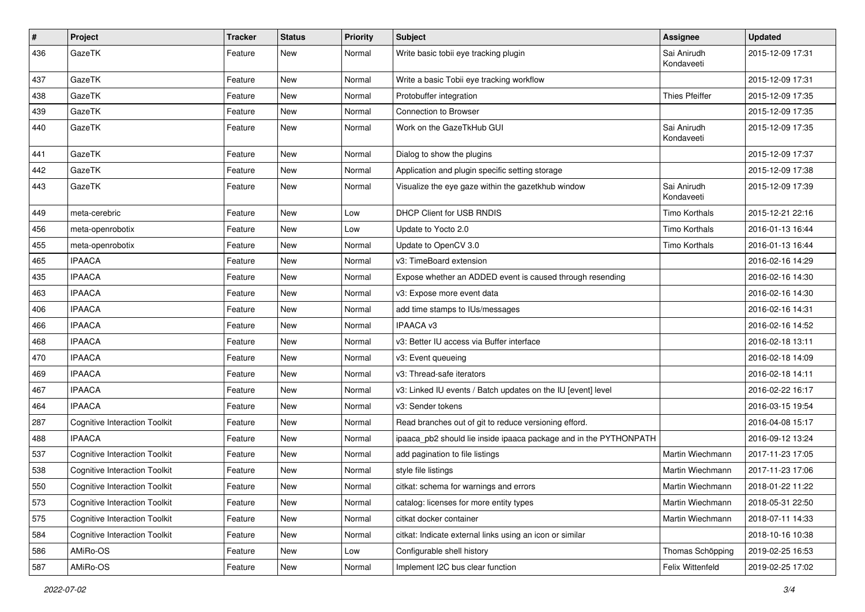| $\#$ | Project                              | <b>Tracker</b> | <b>Status</b> | <b>Priority</b> | Subject                                                           | Assignee                  | <b>Updated</b>   |
|------|--------------------------------------|----------------|---------------|-----------------|-------------------------------------------------------------------|---------------------------|------------------|
| 436  | GazeTK                               | Feature        | New           | Normal          | Write basic tobii eye tracking plugin                             | Sai Anirudh<br>Kondaveeti | 2015-12-09 17:31 |
| 437  | GazeTK                               | Feature        | <b>New</b>    | Normal          | Write a basic Tobii eye tracking workflow                         |                           | 2015-12-09 17:31 |
| 438  | GazeTK                               | Feature        | <b>New</b>    | Normal          | Protobuffer integration                                           | <b>Thies Pfeiffer</b>     | 2015-12-09 17:35 |
| 439  | GazeTK                               | Feature        | <b>New</b>    | Normal          | Connection to Browser                                             |                           | 2015-12-09 17:35 |
| 440  | GazeTK                               | Feature        | New           | Normal          | Work on the GazeTkHub GUI                                         | Sai Anirudh<br>Kondaveeti | 2015-12-09 17:35 |
| 441  | GazeTK                               | Feature        | <b>New</b>    | Normal          | Dialog to show the plugins                                        |                           | 2015-12-09 17:37 |
| 442  | GazeTK                               | Feature        | New           | Normal          | Application and plugin specific setting storage                   |                           | 2015-12-09 17:38 |
| 443  | GazeTK                               | Feature        | New           | Normal          | Visualize the eye gaze within the gazetkhub window                | Sai Anirudh<br>Kondaveeti | 2015-12-09 17:39 |
| 449  | meta-cerebric                        | Feature        | <b>New</b>    | Low             | DHCP Client for USB RNDIS                                         | Timo Korthals             | 2015-12-21 22:16 |
| 456  | meta-openrobotix                     | Feature        | <b>New</b>    | Low             | Update to Yocto 2.0                                               | <b>Timo Korthals</b>      | 2016-01-13 16:44 |
| 455  | meta-openrobotix                     | Feature        | New           | Normal          | Update to OpenCV 3.0                                              | <b>Timo Korthals</b>      | 2016-01-13 16:44 |
| 465  | <b>IPAACA</b>                        | Feature        | <b>New</b>    | Normal          | v3: TimeBoard extension                                           |                           | 2016-02-16 14:29 |
| 435  | <b>IPAACA</b>                        | Feature        | New           | Normal          | Expose whether an ADDED event is caused through resending         |                           | 2016-02-16 14:30 |
| 463  | <b>IPAACA</b>                        | Feature        | <b>New</b>    | Normal          | v3: Expose more event data                                        |                           | 2016-02-16 14:30 |
| 406  | <b>IPAACA</b>                        | Feature        | <b>New</b>    | Normal          | add time stamps to IUs/messages                                   |                           | 2016-02-16 14:31 |
| 466  | <b>IPAACA</b>                        | Feature        | New           | Normal          | <b>IPAACA v3</b>                                                  |                           | 2016-02-16 14:52 |
| 468  | <b>IPAACA</b>                        | Feature        | New           | Normal          | v3: Better IU access via Buffer interface                         |                           | 2016-02-18 13:11 |
| 470  | <b>IPAACA</b>                        | Feature        | <b>New</b>    | Normal          | v3: Event queueing                                                |                           | 2016-02-18 14:09 |
| 469  | <b>IPAACA</b>                        | Feature        | New           | Normal          | v3: Thread-safe iterators                                         |                           | 2016-02-18 14:11 |
| 467  | <b>IPAACA</b>                        | Feature        | <b>New</b>    | Normal          | v3: Linked IU events / Batch updates on the IU [event] level      |                           | 2016-02-22 16:17 |
| 464  | <b>IPAACA</b>                        | Feature        | New           | Normal          | v3: Sender tokens                                                 |                           | 2016-03-15 19:54 |
| 287  | <b>Cognitive Interaction Toolkit</b> | Feature        | <b>New</b>    | Normal          | Read branches out of git to reduce versioning efford.             |                           | 2016-04-08 15:17 |
| 488  | <b>IPAACA</b>                        | Feature        | <b>New</b>    | Normal          | ipaaca_pb2 should lie inside ipaaca package and in the PYTHONPATH |                           | 2016-09-12 13:24 |
| 537  | <b>Cognitive Interaction Toolkit</b> | Feature        | New           | Normal          | add pagination to file listings                                   | Martin Wiechmann          | 2017-11-23 17:05 |
| 538  | <b>Cognitive Interaction Toolkit</b> | Feature        | New           | Normal          | style file listings                                               | Martin Wiechmann          | 2017-11-23 17:06 |
| 550  | <b>Cognitive Interaction Toolkit</b> | Feature        | New           | Normal          | citkat: schema for warnings and errors                            | Martin Wiechmann          | 2018-01-22 11:22 |
| 573  | <b>Cognitive Interaction Toolkit</b> | Feature        | New           | Normal          | catalog: licenses for more entity types                           | Martin Wiechmann          | 2018-05-31 22:50 |
| 575  | <b>Cognitive Interaction Toolkit</b> | Feature        | New           | Normal          | citkat docker container                                           | Martin Wiechmann          | 2018-07-11 14:33 |
| 584  | <b>Cognitive Interaction Toolkit</b> | Feature        | New           | Normal          | citkat: Indicate external links using an icon or similar          |                           | 2018-10-16 10:38 |
| 586  | AMiRo-OS                             | Feature        | New           | Low             | Configurable shell history                                        | Thomas Schöpping          | 2019-02-25 16:53 |
| 587  | AMiRo-OS                             | Feature        | New           | Normal          | Implement I2C bus clear function                                  | Felix Wittenfeld          | 2019-02-25 17:02 |